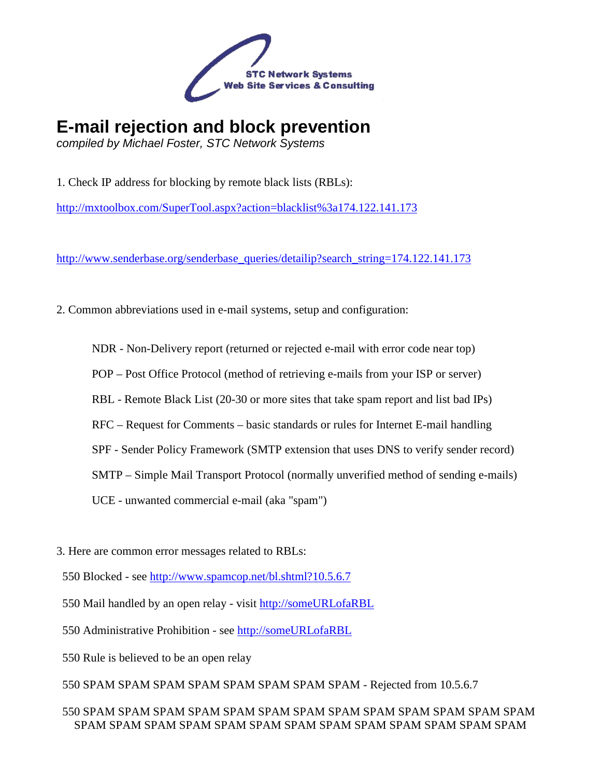

## **E-mail rejection and block prevention**

compiled by Michael Foster, STC Network Systems

1. Check IP address for blocking by remote black lists (RBLs):

http://mxtoolbox.com/SuperTool.aspx?action=blacklist%3a174.122.141.173

http://www.senderbase.org/senderbase\_queries/detailip?search\_string=174.122.141.173

- 2. Common abbreviations used in e-mail systems, setup and configuration:
	- NDR Non-Delivery report (returned or rejected e-mail with error code near top)
	- POP Post Office Protocol (method of retrieving e-mails from your ISP or server)
	- RBL Remote Black List (20-30 or more sites that take spam report and list bad IPs)
	- RFC Request for Comments basic standards or rules for Internet E-mail handling
	- SPF Sender Policy Framework (SMTP extension that uses DNS to verify sender record)
	- SMTP Simple Mail Transport Protocol (normally unverified method of sending e-mails)
	- UCE unwanted commercial e-mail (aka "spam")
- 3. Here are common error messages related to RBLs:
- 550 Blocked see http://www.spamcop.net/bl.shtml?10.5.6.7
- 550 Mail handled by an open relay visit http://someURLofaRBL
- 550 Administrative Prohibition see http://someURLofaRBL
- 550 Rule is believed to be an open relay
- 550 SPAM SPAM SPAM SPAM SPAM SPAM SPAM SPAM Rejected from 10.5.6.7

## 550 SPAM SPAM SPAM SPAM SPAM SPAM SPAM SPAM SPAM SPAM SPAM SPAM SPAM SPAM SPAM SPAM SPAM SPAM SPAM SPAM SPAM SPAM SPAM SPAM SPAM SPAM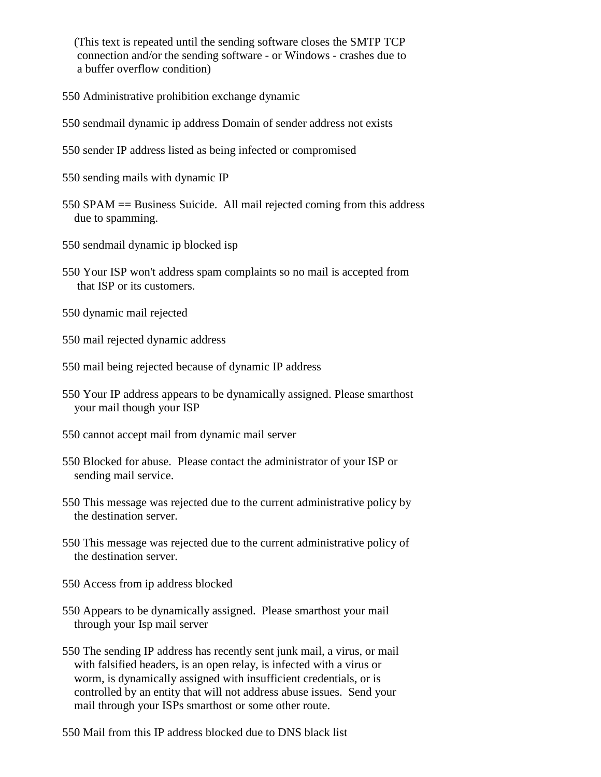(This text is repeated until the sending software closes the SMTP TCP connection and/or the sending software - or Windows - crashes due to a buffer overflow condition)

- 550 Administrative prohibition exchange dynamic
- 550 sendmail dynamic ip address Domain of sender address not exists
- 550 sender IP address listed as being infected or compromised
- 550 sending mails with dynamic IP
- 550 SPAM == Business Suicide. All mail rejected coming from this address due to spamming.
- 550 sendmail dynamic ip blocked isp
- 550 Your ISP won't address spam complaints so no mail is accepted from that ISP or its customers.
- 550 dynamic mail rejected
- 550 mail rejected dynamic address
- 550 mail being rejected because of dynamic IP address
- 550 Your IP address appears to be dynamically assigned. Please smarthost your mail though your ISP
- 550 cannot accept mail from dynamic mail server
- 550 Blocked for abuse. Please contact the administrator of your ISP or sending mail service.
- 550 This message was rejected due to the current administrative policy by the destination server.
- 550 This message was rejected due to the current administrative policy of the destination server.
- 550 Access from ip address blocked
- 550 Appears to be dynamically assigned. Please smarthost your mail through your Isp mail server
- 550 The sending IP address has recently sent junk mail, a virus, or mail with falsified headers, is an open relay, is infected with a virus or worm, is dynamically assigned with insufficient credentials, or is controlled by an entity that will not address abuse issues. Send your mail through your ISPs smarthost or some other route.
- 550 Mail from this IP address blocked due to DNS black list